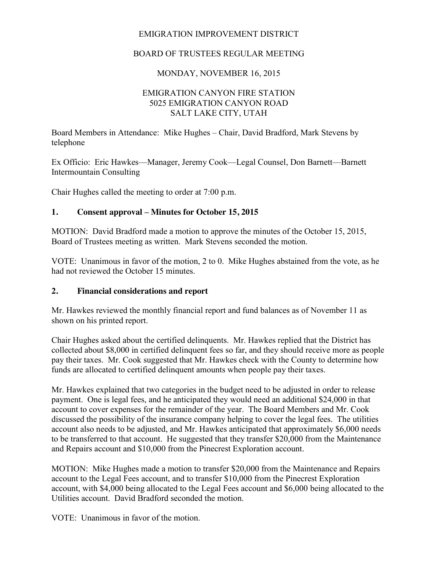# EMIGRATION IMPROVEMENT DISTRICT

# BOARD OF TRUSTEES REGULAR MEETING

## MONDAY, NOVEMBER 16, 2015

### EMIGRATION CANYON FIRE STATION 5025 EMIGRATION CANYON ROAD SALT LAKE CITY, UTAH

Board Members in Attendance: Mike Hughes – Chair, David Bradford, Mark Stevens by telephone

Ex Officio: Eric Hawkes—Manager, Jeremy Cook—Legal Counsel, Don Barnett—Barnett Intermountain Consulting

Chair Hughes called the meeting to order at 7:00 p.m.

### **1. Consent approval – Minutes for October 15, 2015**

MOTION: David Bradford made a motion to approve the minutes of the October 15, 2015, Board of Trustees meeting as written. Mark Stevens seconded the motion.

VOTE: Unanimous in favor of the motion, 2 to 0. Mike Hughes abstained from the vote, as he had not reviewed the October 15 minutes.

#### **2. Financial considerations and report**

Mr. Hawkes reviewed the monthly financial report and fund balances as of November 11 as shown on his printed report.

Chair Hughes asked about the certified delinquents. Mr. Hawkes replied that the District has collected about \$8,000 in certified delinquent fees so far, and they should receive more as people pay their taxes. Mr. Cook suggested that Mr. Hawkes check with the County to determine how funds are allocated to certified delinquent amounts when people pay their taxes.

Mr. Hawkes explained that two categories in the budget need to be adjusted in order to release payment. One is legal fees, and he anticipated they would need an additional \$24,000 in that account to cover expenses for the remainder of the year. The Board Members and Mr. Cook discussed the possibility of the insurance company helping to cover the legal fees. The utilities account also needs to be adjusted, and Mr. Hawkes anticipated that approximately \$6,000 needs to be transferred to that account. He suggested that they transfer \$20,000 from the Maintenance and Repairs account and \$10,000 from the Pinecrest Exploration account.

MOTION: Mike Hughes made a motion to transfer \$20,000 from the Maintenance and Repairs account to the Legal Fees account, and to transfer \$10,000 from the Pinecrest Exploration account, with \$4,000 being allocated to the Legal Fees account and \$6,000 being allocated to the Utilities account. David Bradford seconded the motion.

VOTE: Unanimous in favor of the motion.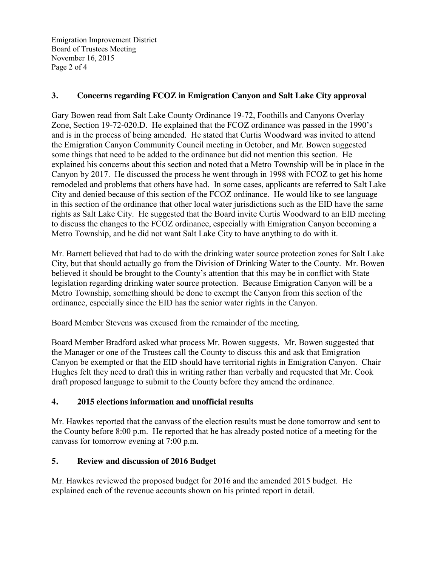Emigration Improvement District Board of Trustees Meeting November 16, 2015 Page 2 of 4

## **3. Concerns regarding FCOZ in Emigration Canyon and Salt Lake City approval**

Gary Bowen read from Salt Lake County Ordinance 19-72, Foothills and Canyons Overlay Zone, Section 19-72-020.D. He explained that the FCOZ ordinance was passed in the 1990's and is in the process of being amended. He stated that Curtis Woodward was invited to attend the Emigration Canyon Community Council meeting in October, and Mr. Bowen suggested some things that need to be added to the ordinance but did not mention this section. He explained his concerns about this section and noted that a Metro Township will be in place in the Canyon by 2017. He discussed the process he went through in 1998 with FCOZ to get his home remodeled and problems that others have had. In some cases, applicants are referred to Salt Lake City and denied because of this section of the FCOZ ordinance. He would like to see language in this section of the ordinance that other local water jurisdictions such as the EID have the same rights as Salt Lake City. He suggested that the Board invite Curtis Woodward to an EID meeting to discuss the changes to the FCOZ ordinance, especially with Emigration Canyon becoming a Metro Township, and he did not want Salt Lake City to have anything to do with it.

Mr. Barnett believed that had to do with the drinking water source protection zones for Salt Lake City, but that should actually go from the Division of Drinking Water to the County. Mr. Bowen believed it should be brought to the County's attention that this may be in conflict with State legislation regarding drinking water source protection. Because Emigration Canyon will be a Metro Township, something should be done to exempt the Canyon from this section of the ordinance, especially since the EID has the senior water rights in the Canyon.

Board Member Stevens was excused from the remainder of the meeting.

Board Member Bradford asked what process Mr. Bowen suggests. Mr. Bowen suggested that the Manager or one of the Trustees call the County to discuss this and ask that Emigration Canyon be exempted or that the EID should have territorial rights in Emigration Canyon. Chair Hughes felt they need to draft this in writing rather than verbally and requested that Mr. Cook draft proposed language to submit to the County before they amend the ordinance.

# **4. 2015 elections information and unofficial results**

Mr. Hawkes reported that the canvass of the election results must be done tomorrow and sent to the County before 8:00 p.m. He reported that he has already posted notice of a meeting for the canvass for tomorrow evening at 7:00 p.m.

# **5. Review and discussion of 2016 Budget**

Mr. Hawkes reviewed the proposed budget for 2016 and the amended 2015 budget. He explained each of the revenue accounts shown on his printed report in detail.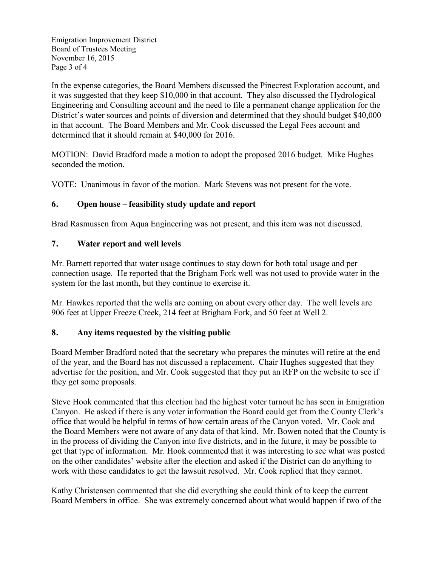Emigration Improvement District Board of Trustees Meeting November 16, 2015 Page 3 of 4

In the expense categories, the Board Members discussed the Pinecrest Exploration account, and it was suggested that they keep \$10,000 in that account. They also discussed the Hydrological Engineering and Consulting account and the need to file a permanent change application for the District's water sources and points of diversion and determined that they should budget \$40,000 in that account. The Board Members and Mr. Cook discussed the Legal Fees account and determined that it should remain at \$40,000 for 2016.

MOTION: David Bradford made a motion to adopt the proposed 2016 budget. Mike Hughes seconded the motion.

VOTE: Unanimous in favor of the motion. Mark Stevens was not present for the vote.

# **6. Open house – feasibility study update and report**

Brad Rasmussen from Aqua Engineering was not present, and this item was not discussed.

### **7. Water report and well levels**

Mr. Barnett reported that water usage continues to stay down for both total usage and per connection usage. He reported that the Brigham Fork well was not used to provide water in the system for the last month, but they continue to exercise it.

Mr. Hawkes reported that the wells are coming on about every other day. The well levels are 906 feet at Upper Freeze Creek, 214 feet at Brigham Fork, and 50 feet at Well 2.

### **8. Any items requested by the visiting public**

Board Member Bradford noted that the secretary who prepares the minutes will retire at the end of the year, and the Board has not discussed a replacement. Chair Hughes suggested that they advertise for the position, and Mr. Cook suggested that they put an RFP on the website to see if they get some proposals.

Steve Hook commented that this election had the highest voter turnout he has seen in Emigration Canyon. He asked if there is any voter information the Board could get from the County Clerk's office that would be helpful in terms of how certain areas of the Canyon voted. Mr. Cook and the Board Members were not aware of any data of that kind. Mr. Bowen noted that the County is in the process of dividing the Canyon into five districts, and in the future, it may be possible to get that type of information. Mr. Hook commented that it was interesting to see what was posted on the other candidates' website after the election and asked if the District can do anything to work with those candidates to get the lawsuit resolved. Mr. Cook replied that they cannot.

Kathy Christensen commented that she did everything she could think of to keep the current Board Members in office. She was extremely concerned about what would happen if two of the